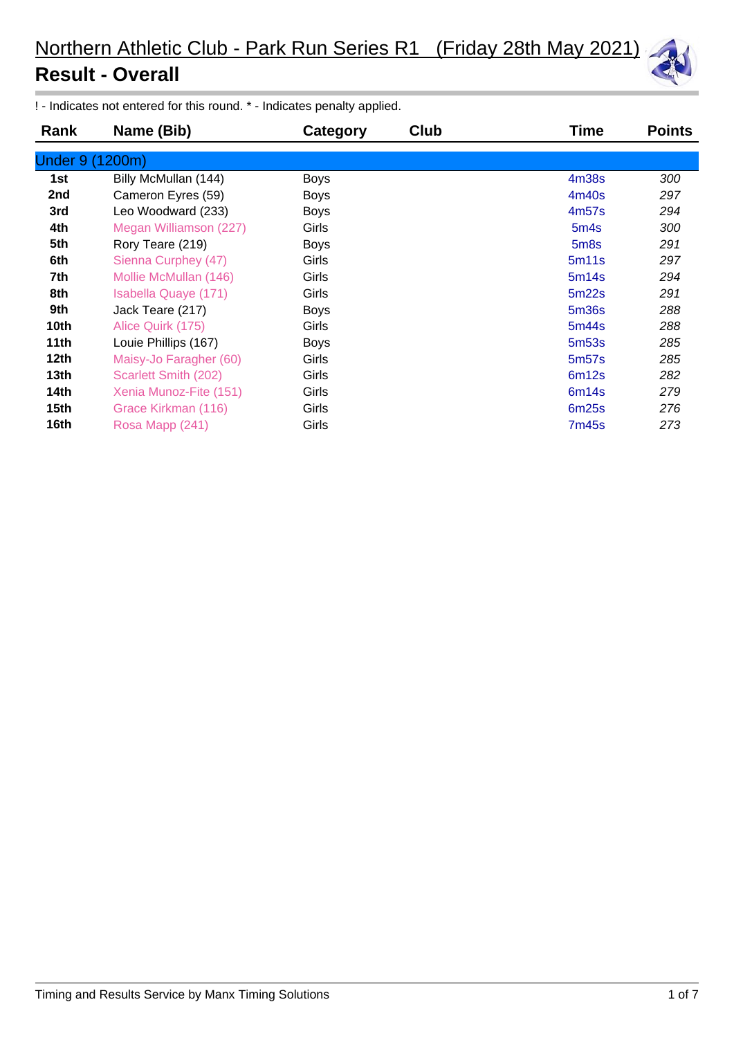

! - Indicates not entered for this round. \* - Indicates penalty applied.

| Rank      | Name (Bib)             | Category    | Club | Time              | <b>Points</b> |
|-----------|------------------------|-------------|------|-------------------|---------------|
| Under 9 ( | (1200m)                |             |      |                   |               |
| 1st       | Billy McMullan (144)   | <b>Boys</b> |      | 4 <sub>m38s</sub> | 300           |
| 2nd       | Cameron Eyres (59)     | <b>Boys</b> |      | 4m40s             | 297           |
| 3rd       | Leo Woodward (233)     | <b>Boys</b> |      | 4m57s             | 294           |
| 4th       | Megan Williamson (227) | Girls       |      | 5 <sub>m4s</sub>  | 300           |
| 5th       | Rory Teare (219)       | <b>Boys</b> |      | 5 <sub>m</sub> 8s | 291           |
| 6th       | Sienna Curphey (47)    | Girls       |      | 5m11s             | 297           |
| 7th       | Mollie McMullan (146)  | Girls       |      | 5m14s             | 294           |
| 8th       | Isabella Quaye (171)   | Girls       |      | 5m22s             | 291           |
| 9th       | Jack Teare (217)       | <b>Boys</b> |      | 5m36s             | 288           |
| 10th      | Alice Quirk (175)      | Girls       |      | 5m44s             | 288           |
| 11th      | Louie Phillips (167)   | <b>Boys</b> |      | 5 <sub>m53s</sub> | 285           |
| 12th      | Maisy-Jo Faragher (60) | Girls       |      | 5m <sub>57s</sub> | 285           |
| 13th      | Scarlett Smith (202)   | Girls       |      | 6m12s             | 282           |
| 14th      | Xenia Munoz-Fite (151) | Girls       |      | 6m14s             | 279           |
| 15th      | Grace Kirkman (116)    | Girls       |      | 6m25s             | 276           |
| 16th      | Rosa Mapp (241)        | Girls       |      | 7m45s             | 273           |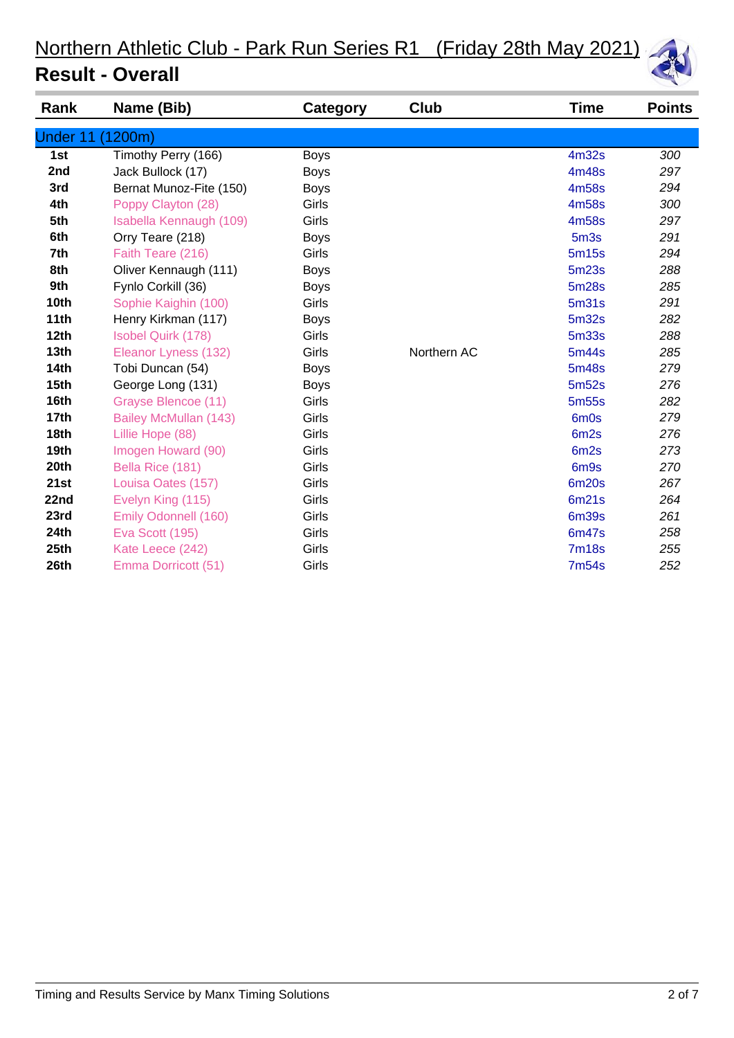

| Rank             | Name (Bib)                | Category    | Club        | <b>Time</b>       | <b>Points</b> |
|------------------|---------------------------|-------------|-------------|-------------------|---------------|
| <b>Under 11</b>  | (1200m)                   |             |             |                   |               |
| 1st              | Timothy Perry (166)       | <b>Boys</b> |             | 4m32s             | 300           |
| 2nd              | Jack Bullock (17)         | <b>Boys</b> |             | 4m48s             | 297           |
| 3rd              | Bernat Munoz-Fite (150)   | <b>Boys</b> |             | 4m58s             | 294           |
| 4th              | Poppy Clayton (28)        | Girls       |             | 4m58s             | 300           |
| 5th              | Isabella Kennaugh (109)   | Girls       |             | 4m58s             | 297           |
| 6th              | Orry Teare (218)          | <b>Boys</b> |             | 5m <sub>3s</sub>  | 291           |
| 7th              | Faith Teare (216)         | Girls       |             | 5m15s             | 294           |
| 8th              | Oliver Kennaugh (111)     | <b>Boys</b> |             | 5m23s             | 288           |
| 9th              | Fynlo Corkill (36)        | <b>Boys</b> |             | 5m28s             | 285           |
| 10th             | Sophie Kaighin (100)      | Girls       |             | 5 <sub>m31s</sub> | 291           |
| 11th             | Henry Kirkman (117)       | <b>Boys</b> |             | 5m32s             | 282           |
| 12th             | <b>Isobel Quirk (178)</b> | Girls       |             | 5m33s             | 288           |
| 13th             | Eleanor Lyness (132)      | Girls       | Northern AC | 5m44s             | 285           |
| <b>14th</b>      | Tobi Duncan (54)          | <b>Boys</b> |             | 5m48s             | 279           |
| 15 <sub>th</sub> | George Long (131)         | <b>Boys</b> |             | 5m52s             | 276           |
| 16th             | Grayse Blencoe (11)       | Girls       |             | 5m <sub>55s</sub> | 282           |
| 17 <sub>th</sub> | Bailey McMullan (143)     | Girls       |             | 6m0s              | 279           |
| 18th             | Lillie Hope (88)          | Girls       |             | 6m <sub>2s</sub>  | 276           |
| 19th             | Imogen Howard (90)        | Girls       |             | 6m <sub>2s</sub>  | 273           |
| 20th             | Bella Rice (181)          | Girls       |             | 6m <sub>9s</sub>  | 270           |
| 21st             | Louisa Oates (157)        | Girls       |             | 6m20s             | 267           |
| 22nd             | Evelyn King (115)         | Girls       |             | 6m21s             | 264           |
| 23rd             | Emily Odonnell (160)      | Girls       |             | 6m39s             | 261           |
| 24th             | <b>Eva Scott (195)</b>    | Girls       |             | 6m47s             | 258           |
| 25th             | Kate Leece (242)          | Girls       |             | <b>7m18s</b>      | 255           |
| 26th             | Emma Dorricott (51)       | Girls       |             | <b>7m54s</b>      | 252           |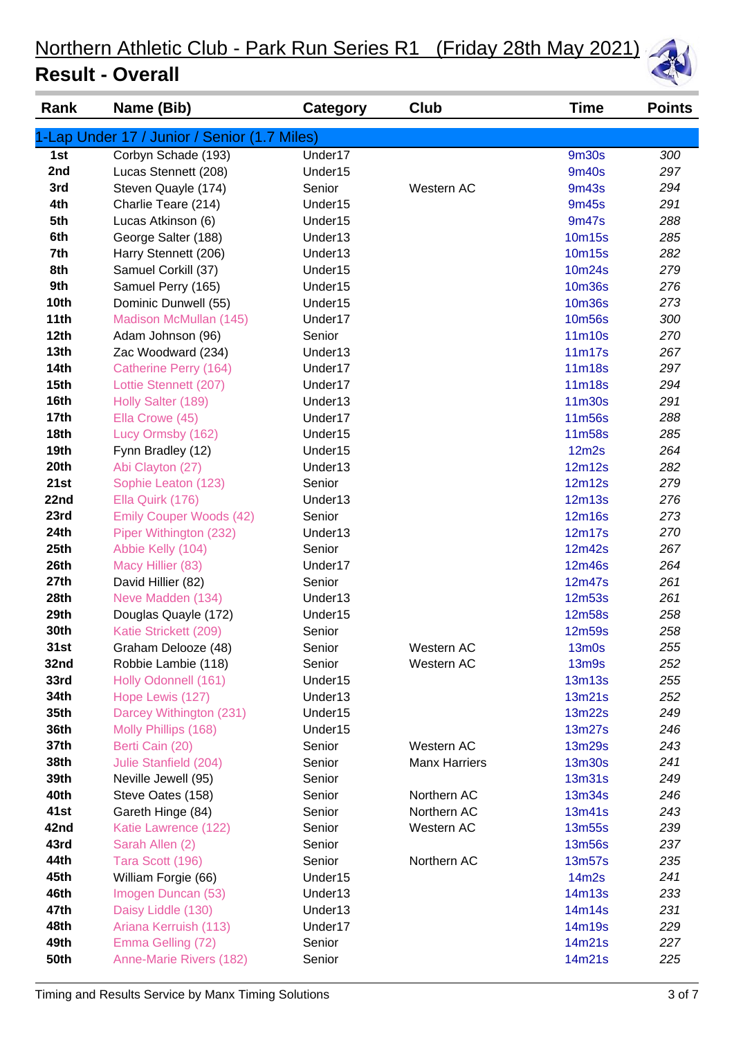| Rank             | Name (Bib)                                   | <b>Category</b>     | Club                 | Time             | <b>Points</b> |
|------------------|----------------------------------------------|---------------------|----------------------|------------------|---------------|
|                  | 1-Lap Under 17 / Junior / Senior (1.7 Miles) |                     |                      |                  |               |
| 1st              | Corbyn Schade (193)                          | Under17             |                      | <b>9m30s</b>     | 300           |
| 2nd              | Lucas Stennett (208)                         | Under15             |                      | 9m40s            | 297           |
| 3rd              | Steven Quayle (174)                          | Senior              | Western AC           | 9m43s            | 294           |
| 4th              | Charlie Teare (214)                          | Under15             |                      | 9m45s            | 291           |
| 5th              | Lucas Atkinson (6)                           | Under15             |                      | 9m47s            | 288           |
| 6th              | George Salter (188)                          | Under13             |                      | 10m15s           | 285           |
| 7th              | Harry Stennett (206)                         | Under13             |                      | 10m15s           | 282           |
| 8th              | Samuel Corkill (37)                          | Under15             |                      | 10m24s           | 279           |
| 9th              | Samuel Perry (165)                           | Under15             |                      | <b>10m36s</b>    | 276           |
| 10th             | Dominic Dunwell (55)                         | Under15             |                      | <b>10m36s</b>    | 273           |
| 11th             | Madison McMullan (145)                       | Under17             |                      | 10m56s           | 300           |
| 12th             | Adam Johnson (96)                            | Senior              |                      | 11m10s           | 270           |
| 13th             | Zac Woodward (234)                           | Under13             |                      | 11m17s           | 267           |
| <b>14th</b>      | Catherine Perry (164)                        | Under17             |                      | 11m18s           | 297           |
| 15 <sub>th</sub> | Lottie Stennett (207)                        | Under17             |                      | 11m18s           | 294           |
| 16th             | Holly Salter (189)                           | Under13             |                      | 11m30s           | 291           |
| 17 <sub>th</sub> | Ella Crowe (45)                              | Under17             |                      | 11m56s           | 288           |
| <b>18th</b>      | Lucy Ormsby (162)                            | Under15             |                      | 11m58s           | 285           |
| 19th             | Fynn Bradley (12)                            | Under15             |                      | 12m2s            | 264           |
| 20th             | Abi Clayton (27)                             | Under13             |                      | 12m12s           | 282           |
| 21st             | Sophie Leaton (123)                          | Senior              |                      | 12m12s           | 279           |
| 22nd             | Ella Quirk (176)                             | Under13             |                      | <b>12m13s</b>    | 276           |
| 23rd             | <b>Emily Couper Woods (42)</b>               | Senior              |                      | 12m16s           | 273           |
| 24th             | Piper Withington (232)                       | Under13             |                      | 12m17s           | 270           |
| 25th             | Abbie Kelly (104)                            | Senior              |                      | 12m42s           | 267           |
| 26th             | Macy Hillier (83)                            | Under17             |                      | 12m46s           | 264           |
| 27th             | David Hillier (82)                           | Senior              |                      | 12m47s           | 261           |
| 28th             | Neve Madden (134)                            | Under13             |                      | <b>12m53s</b>    | 261           |
| 29th             | Douglas Quayle (172)                         | Under15             |                      | <b>12m58s</b>    | 258           |
| 30th             | Katie Strickett (209)                        | Senior              |                      | 12m59s           | 258           |
| 31st             | Graham Delooze (48)                          | Senior              | Western AC           | 13m0s            | 255           |
| 32nd<br>33rd     | Robbie Lambie (118)<br>Holly Odonnell (161)  | Senior<br>Under15   | Western AC           | 13m9s            | 252<br>255    |
| 34th             | Hope Lewis (127)                             | Under <sub>13</sub> |                      | 13m13s<br>13m21s | 252           |
| 35th             | Darcey Withington (231)                      | Under15             |                      | 13m22s           | 249           |
| 36th             | Molly Phillips (168)                         | Under15             |                      | 13m27s           | 246           |
| 37th             | Berti Cain (20)                              | Senior              | Western AC           | 13m29s           | 243           |
| 38th             | Julie Stanfield (204)                        | Senior              | <b>Manx Harriers</b> | 13m30s           | 241           |
| 39th             | Neville Jewell (95)                          | Senior              |                      | 13m31s           | 249           |
| 40th             | Steve Oates (158)                            | Senior              | Northern AC          | 13m34s           | 246           |
| 41st             | Gareth Hinge (84)                            | Senior              | Northern AC          | 13m41s           | 243           |
| 42nd             | Katie Lawrence (122)                         | Senior              | Western AC           | 13m55s           | 239           |
| 43rd             | Sarah Allen (2)                              | Senior              |                      | 13m56s           | 237           |
| 44th             | Tara Scott (196)                             | Senior              | Northern AC          | 13m57s           | 235           |
| 45th             | William Forgie (66)                          | Under15             |                      | 14m2s            | 241           |
| 46th             | Imogen Duncan (53)                           | Under13             |                      | 14m13s           | 233           |
| 47th             | Daisy Liddle (130)                           | Under13             |                      | 14m14s           | 231           |
| 48th             | Ariana Kerruish (113)                        | Under17             |                      | 14m19s           | 229           |
| 49th             | Emma Gelling (72)                            | Senior              |                      | 14m21s           | 227           |
| <b>50th</b>      | Anne-Marie Rivers (182)                      | Senior              |                      | 14m21s           | 225           |
|                  |                                              |                     |                      |                  |               |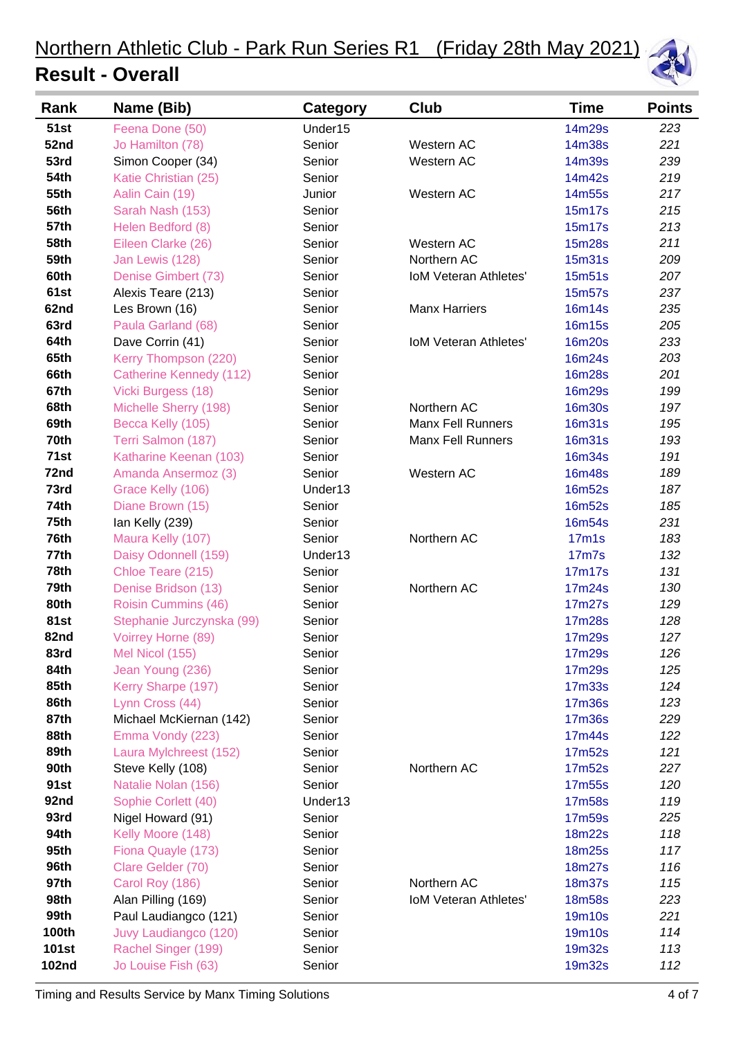

| Rank         | Name (Bib)                     | <b>Category</b> | Club                         | Time               | <b>Points</b> |
|--------------|--------------------------------|-----------------|------------------------------|--------------------|---------------|
| <b>51st</b>  | Feena Done (50)                | Under15         |                              | 14m29s             | 223           |
| 52nd         | Jo Hamilton (78)               | Senior          | Western AC                   | 14m38s             | 221           |
| 53rd         | Simon Cooper (34)              | Senior          | Western AC                   | 14m39s             | 239           |
| <b>54th</b>  | Katie Christian (25)           | Senior          |                              | 14m42s             | 219           |
| 55th         | Aalin Cain (19)                | Junior          | Western AC                   | 14m55s             | 217           |
| <b>56th</b>  | Sarah Nash (153)               | Senior          |                              | 15m17s             | 215           |
| <b>57th</b>  | Helen Bedford (8)              | Senior          |                              | 15m17s             | 213           |
| <b>58th</b>  | Eileen Clarke (26)             | Senior          | Western AC                   | 15m28s             | 211           |
| 59th         | Jan Lewis (128)                | Senior          | Northern AC                  | 15m31s             | 209           |
| 60th         | Denise Gimbert (73)            | Senior          | <b>IoM Veteran Athletes'</b> | 15m51s             | 207           |
| 61st         | Alexis Teare (213)             | Senior          |                              | 15m57s             | 237           |
| 62nd         | Les Brown (16)                 | Senior          | <b>Manx Harriers</b>         | 16m14s             | 235           |
| 63rd         | Paula Garland (68)             | Senior          |                              | <b>16m15s</b>      | 205           |
| 64th         | Dave Corrin (41)               | Senior          | <b>IoM Veteran Athletes'</b> | <b>16m20s</b>      | 233           |
| 65th         | Kerry Thompson (220)           | Senior          |                              | 16m24s             | 203           |
| 66th         | <b>Catherine Kennedy (112)</b> | Senior          |                              | <b>16m28s</b>      | 201           |
| 67th         | Vicki Burgess (18)             | Senior          |                              | <b>16m29s</b>      | 199           |
| 68th         | Michelle Sherry (198)          | Senior          | Northern AC                  | <b>16m30s</b>      | 197           |
| 69th         | Becca Kelly (105)              | Senior          | <b>Manx Fell Runners</b>     | <b>16m31s</b>      | 195           |
| 70th         | Terri Salmon (187)             | Senior          | <b>Manx Fell Runners</b>     | <b>16m31s</b>      | 193           |
| 71st         | Katharine Keenan (103)         | Senior          |                              | 16m34s             | 191           |
| 72nd         | Amanda Ansermoz (3)            | Senior          | Western AC                   | <b>16m48s</b>      | 189           |
| 73rd         | Grace Kelly (106)              | Under13         |                              | <b>16m52s</b>      | 187           |
| <b>74th</b>  | Diane Brown (15)               | Senior          |                              | <b>16m52s</b>      | 185           |
| 75th         | lan Kelly (239)                | Senior          |                              | 16m54s             | 231           |
| 76th         | Maura Kelly (107)              | Senior          | Northern AC                  | 17 <sub>m</sub> 1s | 183           |
| 77th         | Daisy Odonnell (159)           | Under13         |                              | <b>17m7s</b>       | 132           |
| 78th         | Chloe Teare (215)              | Senior          |                              | 17m17s             | 131           |
| 79th         | Denise Bridson (13)            | Senior          | Northern AC                  | 17m24s             | 130           |
| 80th         | Roisin Cummins (46)            | Senior          |                              | 17m27s             | 129           |
| <b>81st</b>  | Stephanie Jurczynska (99)      | Senior          |                              | 17m28s             | 128           |
| 82nd         | Voirrey Horne (89)             | Senior          |                              | 17m29s             | 127           |
| 83rd         | Mel Nicol (155)                | Senior          |                              | 17m29s             | 126           |
| 84th         | Jean Young (236)               | Senior          |                              | 17m29s             | 125           |
| 85th         | Kerry Sharpe (197)             | Senior          |                              | 17m33s             | 124           |
| 86th         | Lynn Cross (44)                | Senior          |                              | <b>17m36s</b>      | 123           |
| 87th         | Michael McKiernan (142)        | Senior          |                              | <b>17m36s</b>      | 229           |
| 88th         | Emma Vondy (223)               | Senior          |                              | 17m44s             | 122           |
| 89th         | Laura Mylchreest (152)         | Senior          |                              | 17m52s             | 121           |
| <b>90th</b>  | Steve Kelly (108)              | Senior          | Northern AC                  | 17m52s             | 227           |
| 91st         | Natalie Nolan (156)            | Senior          |                              | 17m55s             | 120           |
| 92nd         | Sophie Corlett (40)            | Under13         |                              | 17m58s             | 119           |
| 93rd         | Nigel Howard (91)              | Senior          |                              | 17m59s             | 225           |
| 94th         | Kelly Moore (148)              | Senior          |                              | 18m22s             | 118           |
| 95th         | Fiona Quayle (173)             | Senior          |                              | 18m25s             | 117           |
| 96th         | Clare Gelder (70)              | Senior          |                              | 18m27s             | 116           |
| 97th         | Carol Roy (186)                | Senior          | Northern AC                  | <b>18m37s</b>      | 115           |
| 98th         | Alan Pilling (169)             | Senior          | IoM Veteran Athletes'        | <b>18m58s</b>      | 223           |
| 99th         | Paul Laudiangco (121)          | Senior          |                              | 19m10s             | 221           |
| <b>100th</b> | Juvy Laudiangco (120)          | Senior          |                              | 19m10s             | 114           |
| <b>101st</b> | Rachel Singer (199)            | Senior          |                              | 19m32s             | 113           |
| <b>102nd</b> | Jo Louise Fish (63)            | Senior          |                              | 19m32s             | 112           |
|              |                                |                 |                              |                    |               |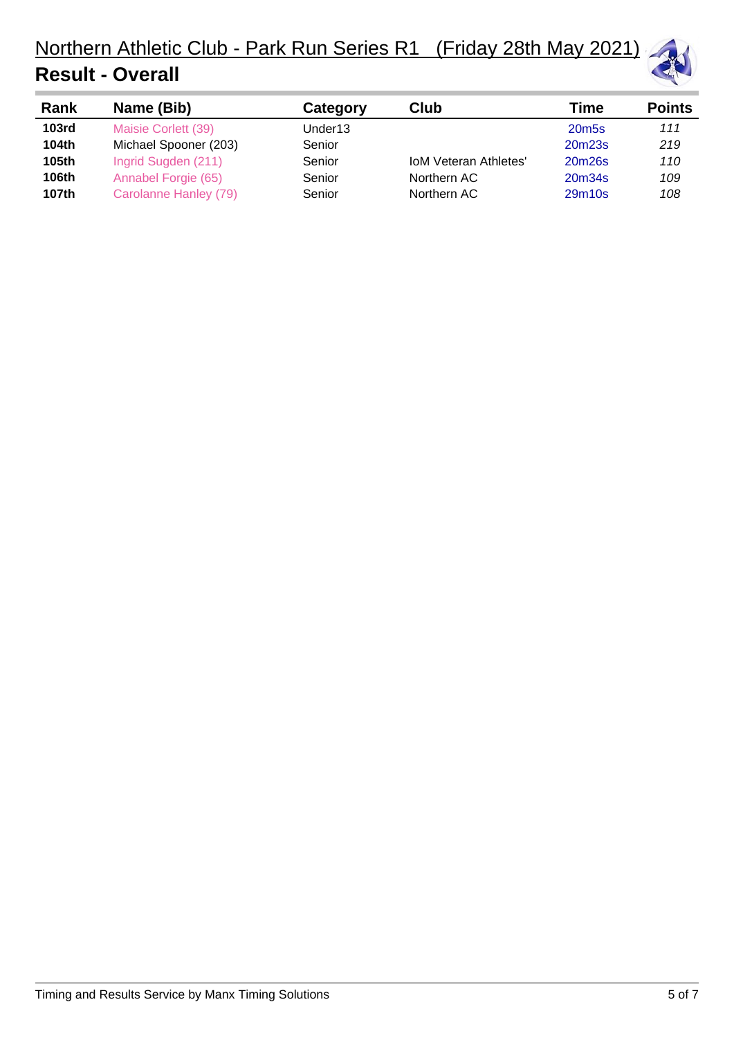

| Rank              | Name (Bib)            | Category | Club                         | Time              | <b>Points</b> |
|-------------------|-----------------------|----------|------------------------------|-------------------|---------------|
| 103 <sub>rd</sub> | Maisie Corlett (39)   | Under13  |                              | 20m <sub>5s</sub> | 111           |
| 104th             | Michael Spooner (203) | Senior   |                              | 20m23s            | 219           |
| 105th             | Ingrid Sugden (211)   | Senior   | <b>IoM Veteran Athletes'</b> | 20m26s            | 110           |
| <b>106th</b>      | Annabel Forgie (65)   | Senior   | Northern AC                  | 20m34s            | 109           |
| 107th             | Carolanne Hanley (79) | Senior   | Northern AC                  | 29m10s            | 108           |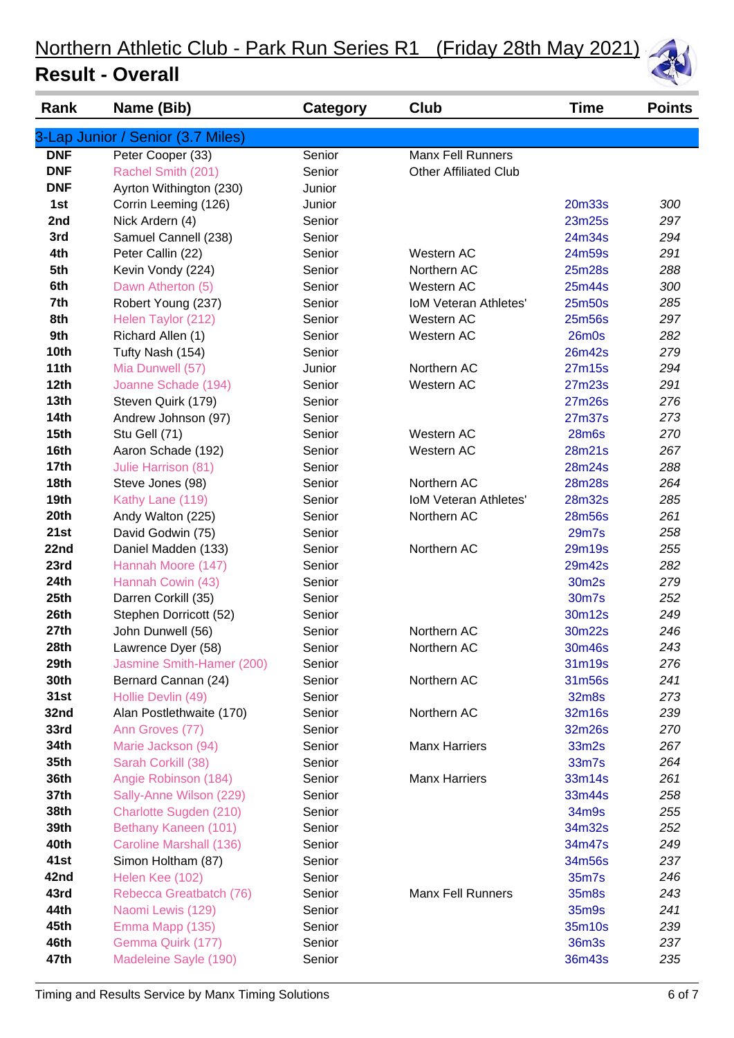| Rank             | Name (Bib)                        | Category | Club                         | <b>Time</b>  | <b>Points</b> |
|------------------|-----------------------------------|----------|------------------------------|--------------|---------------|
|                  | 3-Lap Junior / Senior (3.7 Miles) |          |                              |              |               |
| <b>DNF</b>       | Peter Cooper (33)                 | Senior   | <b>Manx Fell Runners</b>     |              |               |
| <b>DNF</b>       | Rachel Smith (201)                | Senior   | <b>Other Affiliated Club</b> |              |               |
| <b>DNF</b>       | Ayrton Withington (230)           | Junior   |                              |              |               |
| 1st              | Corrin Leeming (126)              | Junior   |                              | 20m33s       | 300           |
| 2nd              | Nick Ardern (4)                   | Senior   |                              | 23m25s       | 297           |
| 3rd              | Samuel Cannell (238)              | Senior   |                              | 24m34s       | 294           |
| 4th              | Peter Callin (22)                 | Senior   | Western AC                   | 24m59s       | 291           |
| 5th              | Kevin Vondy (224)                 | Senior   | Northern AC                  | 25m28s       | 288           |
| 6th              | Dawn Atherton (5)                 | Senior   | Western AC                   | 25m44s       | 300           |
| 7th              | Robert Young (237)                | Senior   | <b>IoM Veteran Athletes'</b> | 25m50s       | 285           |
| 8th              | Helen Taylor (212)                | Senior   | Western AC                   | 25m56s       | 297           |
| 9th              | Richard Allen (1)                 | Senior   | Western AC                   | $26m$ 0s     | 282           |
| <b>10th</b>      | Tufty Nash (154)                  | Senior   |                              | 26m42s       | 279           |
| 11th             | Mia Dunwell (57)                  | Junior   | Northern AC                  | 27m15s       | 294           |
| 12th             | Joanne Schade (194)               | Senior   | Western AC                   | 27m23s       | 291           |
| 13th             | Steven Quirk (179)                | Senior   |                              | 27m26s       | 276           |
| <b>14th</b>      | Andrew Johnson (97)               | Senior   |                              | 27m37s       | 273           |
| 15 <sub>th</sub> | Stu Gell (71)                     | Senior   | Western AC                   | <b>28m6s</b> | 270           |
| 16th             | Aaron Schade (192)                | Senior   | Western AC                   | 28m21s       | 267           |
| <b>17th</b>      | Julie Harrison (81)               | Senior   |                              | 28m24s       | 288           |
| 18th             | Steve Jones (98)                  | Senior   | Northern AC                  | 28m28s       | 264           |
| 19th             | Kathy Lane (119)                  | Senior   | <b>IoM Veteran Athletes'</b> | 28m32s       | 285           |
| 20th             | Andy Walton (225)                 | Senior   | Northern AC                  | 28m56s       | 261           |
| 21st             | David Godwin (75)                 | Senior   |                              | 29m7s        | 258           |
| 22nd             | Daniel Madden (133)               | Senior   | Northern AC                  | 29m19s       | 255           |
| 23rd             | Hannah Moore (147)                | Senior   |                              | 29m42s       | 282           |
| 24th             | Hannah Cowin (43)                 | Senior   |                              | 30m2s        | 279           |
| 25th             | Darren Corkill (35)               | Senior   |                              | 30m7s        | 252           |
| 26th             | Stephen Dorricott (52)            | Senior   |                              | 30m12s       | 249           |
| 27th             | John Dunwell (56)                 | Senior   | Northern AC                  | 30m22s       | 246           |
| 28th             | Lawrence Dyer (58)                | Senior   | Northern AC                  | 30m46s       | 243           |
| 29th             | Jasmine Smith-Hamer (200)         | Senior   |                              | 31m19s       | 276           |
| 30th             | Bernard Cannan (24)               | Senior   | Northern AC                  | 31m56s       | 241           |
| 31st             | Hollie Devlin (49)                | Senior   |                              | 32m8s        | 273           |
| 32nd             | Alan Postlethwaite (170)          | Senior   | Northern AC                  | 32m16s       | 239           |
| 33rd             | Ann Groves (77)                   | Senior   |                              | 32m26s       | 270           |
| 34th             | Marie Jackson (94)                | Senior   | <b>Manx Harriers</b>         | 33m2s        | 267           |
| 35th             | Sarah Corkill (38)                | Senior   |                              | 33m7s        | 264           |
| 36th             | Angie Robinson (184)              | Senior   | <b>Manx Harriers</b>         | 33m14s       | 261           |
| 37th             | Sally-Anne Wilson (229)           | Senior   |                              | 33m44s       | 258           |
| 38th             | Charlotte Sugden (210)            | Senior   |                              | 34m9s        | 255           |
| 39th             | Bethany Kaneen (101)              | Senior   |                              | 34m32s       | 252           |
| 40th             | Caroline Marshall (136)           | Senior   |                              | 34m47s       | 249           |
| 41st             | Simon Holtham (87)                | Senior   |                              | 34m56s       | 237           |
| 42nd             | Helen Kee (102)                   | Senior   |                              | 35m7s        | 246           |
| 43rd             | Rebecca Greatbatch (76)           | Senior   | <b>Manx Fell Runners</b>     | 35m8s        | 243           |
| 44th             | Naomi Lewis (129)                 | Senior   |                              | 35m9s        | 241           |
| 45th             | Emma Mapp (135)                   | Senior   |                              | 35m10s       | 239           |
| 46th             | Gemma Quirk (177)                 | Senior   |                              | 36m3s        | 237           |
| 47th             | Madeleine Sayle (190)             | Senior   |                              | 36m43s       | 235           |